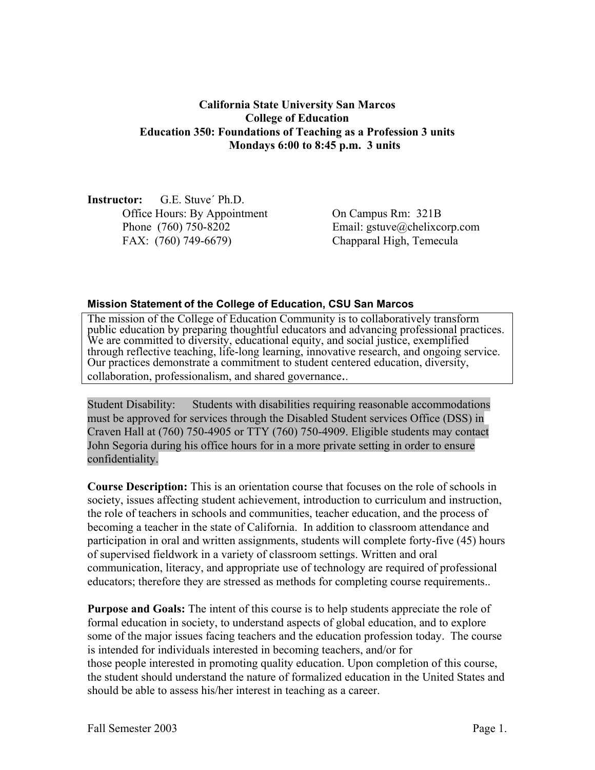# **California State University San Marcos College of Education Education 350: Foundations of Teaching as a Profession 3 units Mondays 6:00 to 8:45 p.m. 3 units**

**Instructor:** G.E. Stuve´ Ph.D. Office Hours: By Appointment On Campus Rm: 321B FAX: (760) 749-6679) Chapparal High, Temecula

Phone (760) 750-8202 Email: gstuve@chelixcorp.com

#### **Mission Statement of the College of Education, CSU San Marcos**

The mission of the College of Education Community is to collaboratively transform public education by preparing thoughtful educators and advancing professional practices. We are committed to diversity, educational equity, and social justice, exemplified through reflective teaching, life-long learning, innovative research, and ongoing service. Our practices demonstrate a commitment to student centered education, diversity, collaboration, professionalism, and shared governance..

Student Disability: Students with disabilities requiring reasonable accommodations must be approved for services through the Disabled Student services Office (DSS) in Craven Hall at (760) 750-4905 or TTY (760) 750-4909. Eligible students may contact John Segoria during his office hours for in a more private setting in order to ensure confidentiality.

**Course Description:** This is an orientation course that focuses on the role of schools in society, issues affecting student achievement, introduction to curriculum and instruction, the role of teachers in schools and communities, teacher education, and the process of becoming a teacher in the state of California. In addition to classroom attendance and participation in oral and written assignments, students will complete forty-five (45) hours of supervised fieldwork in a variety of classroom settings. Written and oral communication, literacy, and appropriate use of technology are required of professional educators; therefore they are stressed as methods for completing course requirements..

**Purpose and Goals:** The intent of this course is to help students appreciate the role of formal education in society, to understand aspects of global education, and to explore some of the major issues facing teachers and the education profession today. The course is intended for individuals interested in becoming teachers, and/or for those people interested in promoting quality education. Upon completion of this course, the student should understand the nature of formalized education in the United States and should be able to assess his/her interest in teaching as a career.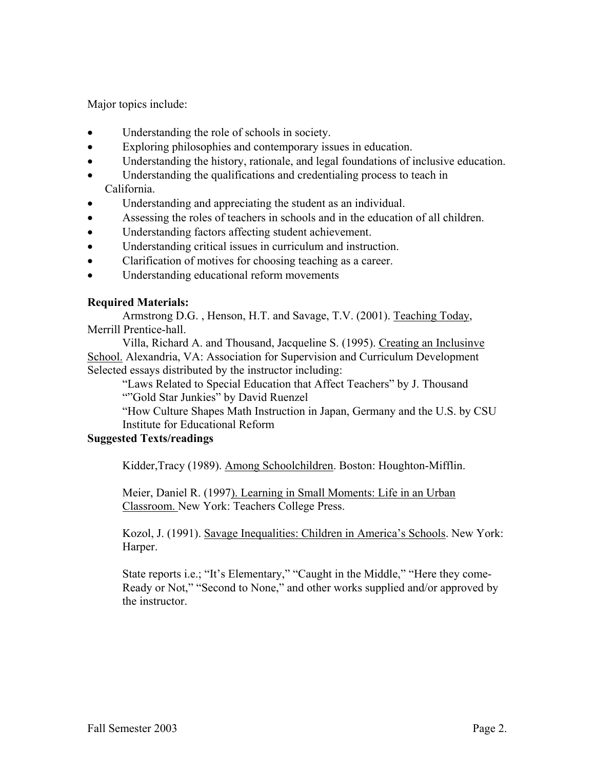Major topics include:

- Understanding the role of schools in society.
- Exploring philosophies and contemporary issues in education.
- Understanding the history, rationale, and legal foundations of inclusive education.
- Understanding the qualifications and credentialing process to teach in California.
- Understanding and appreciating the student as an individual.
- Assessing the roles of teachers in schools and in the education of all children.
- Understanding factors affecting student achievement.
- Understanding critical issues in curriculum and instruction.
- Clarification of motives for choosing teaching as a career.
- Understanding educational reform movements

# **Required Materials:**

 Armstrong D.G. , Henson, H.T. and Savage, T.V. (2001). Teaching Today, Merrill Prentice-hall.

 Villa, Richard A. and Thousand, Jacqueline S. (1995). Creating an Inclusinve School. Alexandria, VA: Association for Supervision and Curriculum Development Selected essays distributed by the instructor including:

 "Laws Related to Special Education that Affect Teachers" by J. Thousand ""Gold Star Junkies" by David Ruenzel

"How Culture Shapes Math Instruction in Japan, Germany and the U.S. by CSU Institute for Educational Reform

### **Suggested Texts/readings**

Kidder,Tracy (1989). Among Schoolchildren. Boston: Houghton-Mifflin.

Meier, Daniel R. (1997). Learning in Small Moments: Life in an Urban Classroom. New York: Teachers College Press.

Kozol, J. (1991). Savage Inequalities: Children in America's Schools. New York: Harper.

State reports i.e.; "It's Elementary," "Caught in the Middle," "Here they come-Ready or Not," "Second to None," and other works supplied and/or approved by the instructor.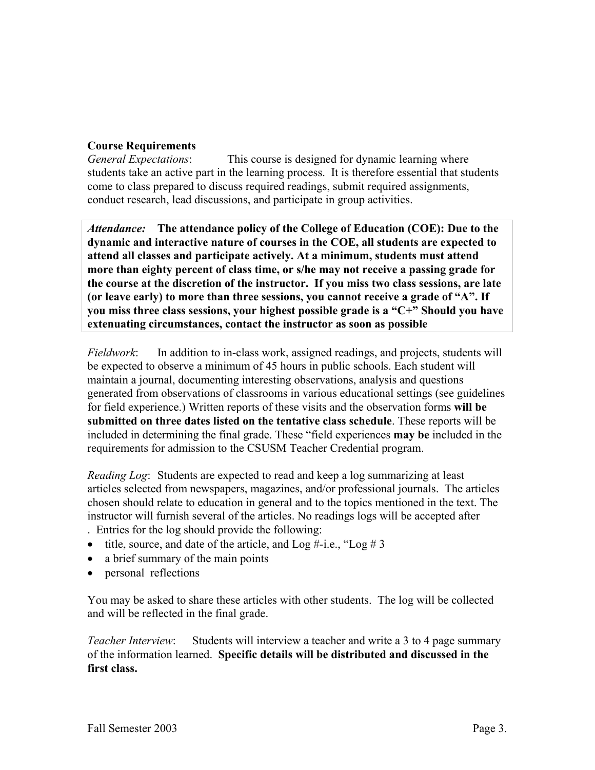# **Course Requirements**

*General Expectations*: This course is designed for dynamic learning where students take an active part in the learning process. It is therefore essential that students come to class prepared to discuss required readings, submit required assignments, conduct research, lead discussions, and participate in group activities.

*Attendance:* **The attendance policy of the College of Education (COE): Due to the dynamic and interactive nature of courses in the COE, all students are expected to attend all classes and participate actively. At a minimum, students must attend more than eighty percent of class time, or s/he may not receive a passing grade for the course at the discretion of the instructor. If you miss two class sessions, are late (or leave early) to more than three sessions, you cannot receive a grade of "A". If you miss three class sessions, your highest possible grade is a "C+" Should you have extenuating circumstances, contact the instructor as soon as possible** 

*Fieldwork*: In addition to in-class work, assigned readings, and projects, students will be expected to observe a minimum of 45 hours in public schools. Each student will maintain a journal, documenting interesting observations, analysis and questions generated from observations of classrooms in various educational settings (see guidelines for field experience.) Written reports of these visits and the observation forms **will be submitted on three dates listed on the tentative class schedule**. These reports will be included in determining the final grade. These "field experiences **may be** included in the requirements for admission to the CSUSM Teacher Credential program.

*Reading Log*: Students are expected to read and keep a log summarizing at least articles selected from newspapers, magazines, and/or professional journals. The articles chosen should relate to education in general and to the topics mentioned in the text. The instructor will furnish several of the articles. No readings logs will be accepted after . Entries for the log should provide the following:

- title, source, and date of the article, and  $\text{Log } \# -i.e., \text{``Log } \# 3$
- a brief summary of the main points
- personal reflections

You may be asked to share these articles with other students. The log will be collected and will be reflected in the final grade.

*Teacher Interview*: Students will interview a teacher and write a 3 to 4 page summary of the information learned. **Specific details will be distributed and discussed in the first class.**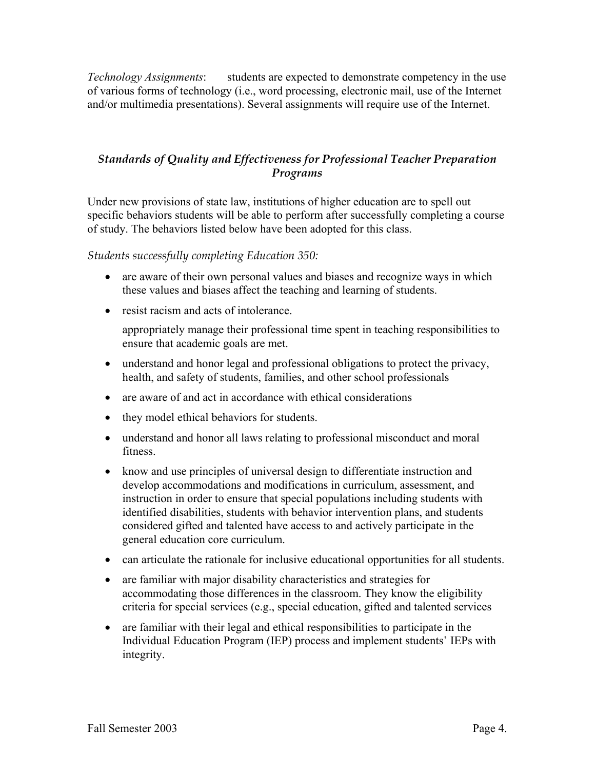*Technology Assignments*: students are expected to demonstrate competency in the use of various forms of technology (i.e., word processing, electronic mail, use of the Internet and/or multimedia presentations). Several assignments will require use of the Internet.

# *Standards of Quality and Effectiveness for Professional Teacher Preparation Programs*

Under new provisions of state law, institutions of higher education are to spell out specific behaviors students will be able to perform after successfully completing a course of study. The behaviors listed below have been adopted for this class.

*Students successfully completing Education 350:* 

- are aware of their own personal values and biases and recognize ways in which these values and biases affect the teaching and learning of students.
- resist racism and acts of intolerance.

appropriately manage their professional time spent in teaching responsibilities to ensure that academic goals are met.

- understand and honor legal and professional obligations to protect the privacy, health, and safety of students, families, and other school professionals
- are aware of and act in accordance with ethical considerations
- they model ethical behaviors for students.
- understand and honor all laws relating to professional misconduct and moral fitness.
- know and use principles of universal design to differentiate instruction and develop accommodations and modifications in curriculum, assessment, and instruction in order to ensure that special populations including students with identified disabilities, students with behavior intervention plans, and students considered gifted and talented have access to and actively participate in the general education core curriculum.
- can articulate the rationale for inclusive educational opportunities for all students.
- are familiar with major disability characteristics and strategies for accommodating those differences in the classroom. They know the eligibility criteria for special services (e.g., special education, gifted and talented services
- are familiar with their legal and ethical responsibilities to participate in the Individual Education Program (IEP) process and implement students' IEPs with integrity.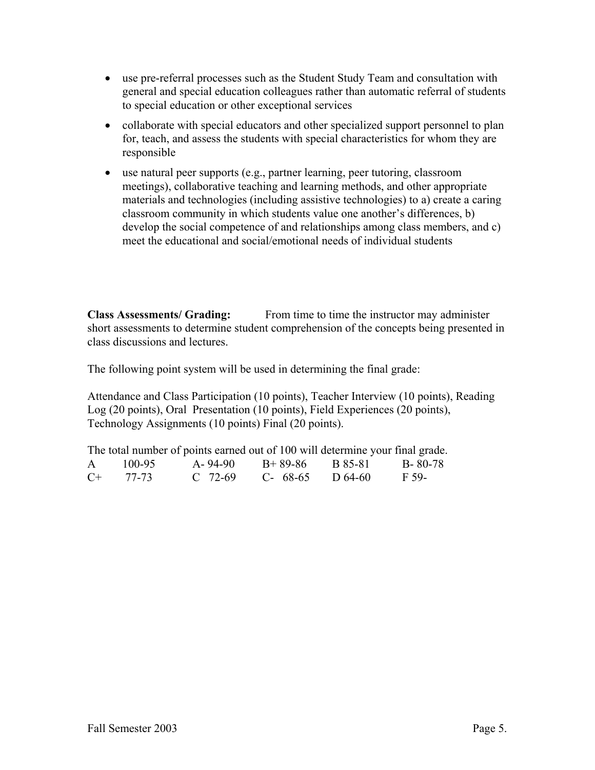- use pre-referral processes such as the Student Study Team and consultation with general and special education colleagues rather than automatic referral of students to special education or other exceptional services
- collaborate with special educators and other specialized support personnel to plan for, teach, and assess the students with special characteristics for whom they are responsible
- use natural peer supports (e.g., partner learning, peer tutoring, classroom meetings), collaborative teaching and learning methods, and other appropriate materials and technologies (including assistive technologies) to a) create a caring classroom community in which students value one another's differences, b) develop the social competence of and relationships among class members, and c) meet the educational and social/emotional needs of individual students

**Class Assessments/ Grading:** From time to time the instructor may administer short assessments to determine student comprehension of the concepts being presented in class discussions and lectures.

The following point system will be used in determining the final grade:

Attendance and Class Participation (10 points), Teacher Interview (10 points), Reading Log (20 points), Oral Presentation (10 points), Field Experiences (20 points), Technology Assignments (10 points) Final (20 points).

The total number of points earned out of 100 will determine your final grade. A 100-95 A- 94-90 B+ 89-86 B 85-81 B- 80-78 C+ 77-73 C 72-69 C- 68-65 D 64-60 F 59-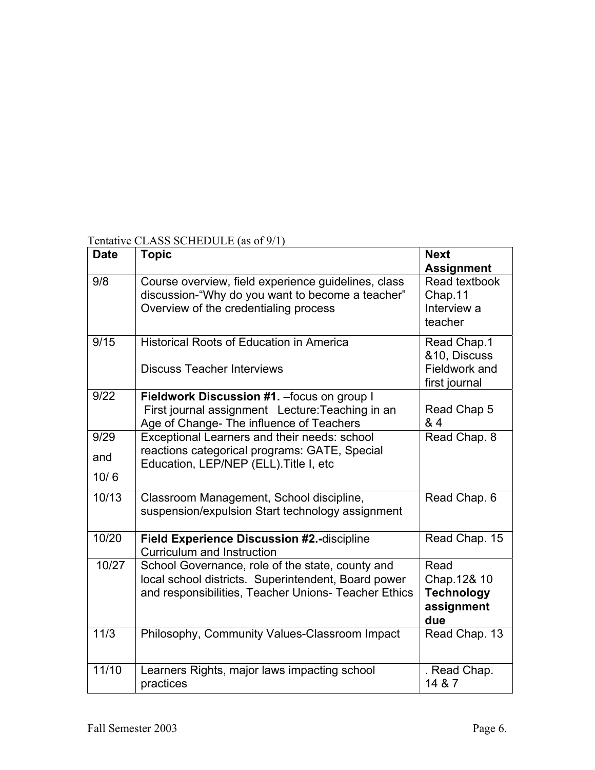| Tentative CLASS SCHEDULE (as of 9/1) |  |
|--------------------------------------|--|
|--------------------------------------|--|

| <b>Date</b> | <b>Topic</b>                                                                                                                                                    | <b>Next</b><br><b>Assignment</b>                              |
|-------------|-----------------------------------------------------------------------------------------------------------------------------------------------------------------|---------------------------------------------------------------|
| 9/8         | Course overview, field experience guidelines, class<br>discussion-"Why do you want to become a teacher"<br>Overview of the credentialing process                | Read textbook<br>Chap.11<br>Interview a<br>teacher            |
| 9/15        | <b>Historical Roots of Education in America</b><br><b>Discuss Teacher Interviews</b>                                                                            | Read Chap.1<br>&10, Discuss<br>Fieldwork and<br>first journal |
| 9/22        | Fieldwork Discussion #1. - focus on group I<br>First journal assignment Lecture: Teaching in an<br>Age of Change- The influence of Teachers                     | Read Chap 5<br>& 4                                            |
| 9/29<br>and | Exceptional Learners and their needs: school<br>reactions categorical programs: GATE, Special                                                                   | Read Chap. 8                                                  |
| 10/6        | Education, LEP/NEP (ELL). Title I, etc                                                                                                                          |                                                               |
| 10/13       | Classroom Management, School discipline,<br>suspension/expulsion Start technology assignment                                                                    | Read Chap. 6                                                  |
| 10/20       | Field Experience Discussion #2.-discipline<br><b>Curriculum and Instruction</b>                                                                                 | Read Chap. 15                                                 |
| 10/27       | School Governance, role of the state, county and<br>local school districts. Superintendent, Board power<br>and responsibilities, Teacher Unions- Teacher Ethics | Read<br>Chap.12& 10<br><b>Technology</b><br>assignment<br>due |
| 11/3        | Philosophy, Community Values-Classroom Impact                                                                                                                   | Read Chap. 13                                                 |
| 11/10       | Learners Rights, major laws impacting school<br>practices                                                                                                       | . Read Chap.<br>14 & 7                                        |